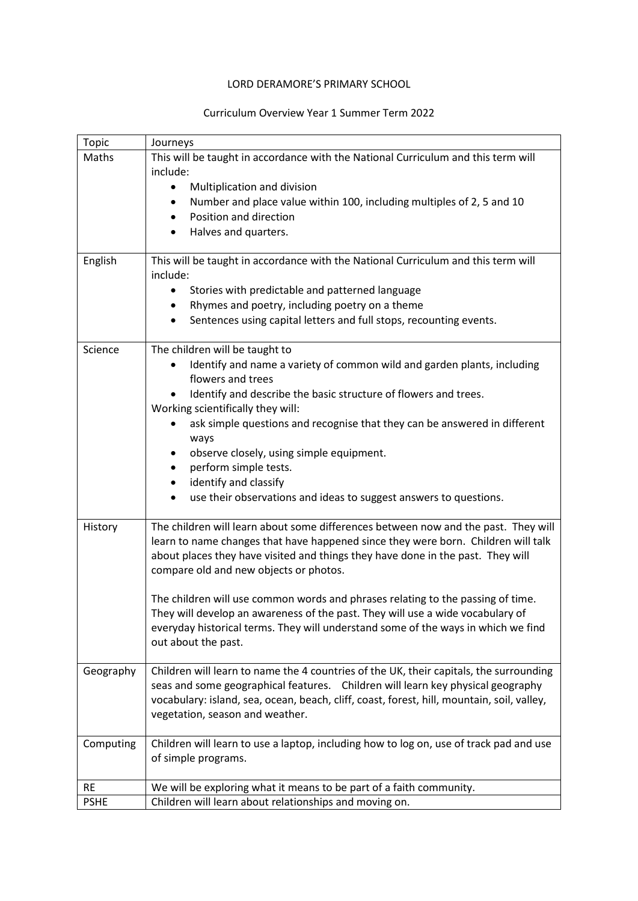## LORD DERAMORE'S PRIMARY SCHOOL

## Curriculum Overview Year 1 Summer Term 2022

| <b>Topic</b> | Journeys                                                                                                                                                                                                                                                                                                   |
|--------------|------------------------------------------------------------------------------------------------------------------------------------------------------------------------------------------------------------------------------------------------------------------------------------------------------------|
| Maths        | This will be taught in accordance with the National Curriculum and this term will                                                                                                                                                                                                                          |
|              | include:                                                                                                                                                                                                                                                                                                   |
|              | Multiplication and division                                                                                                                                                                                                                                                                                |
|              | Number and place value within 100, including multiples of 2, 5 and 10<br>$\bullet$                                                                                                                                                                                                                         |
|              | Position and direction                                                                                                                                                                                                                                                                                     |
|              | Halves and quarters.                                                                                                                                                                                                                                                                                       |
| English      | This will be taught in accordance with the National Curriculum and this term will<br>include:                                                                                                                                                                                                              |
|              | Stories with predictable and patterned language                                                                                                                                                                                                                                                            |
|              | Rhymes and poetry, including poetry on a theme                                                                                                                                                                                                                                                             |
|              | Sentences using capital letters and full stops, recounting events.                                                                                                                                                                                                                                         |
| Science      | The children will be taught to                                                                                                                                                                                                                                                                             |
|              | Identify and name a variety of common wild and garden plants, including<br>flowers and trees                                                                                                                                                                                                               |
|              | Identify and describe the basic structure of flowers and trees.<br>Working scientifically they will:                                                                                                                                                                                                       |
|              | ask simple questions and recognise that they can be answered in different<br>ways                                                                                                                                                                                                                          |
|              | observe closely, using simple equipment.                                                                                                                                                                                                                                                                   |
|              | perform simple tests.                                                                                                                                                                                                                                                                                      |
|              | identify and classify<br>٠                                                                                                                                                                                                                                                                                 |
|              | use their observations and ideas to suggest answers to questions.<br>$\bullet$                                                                                                                                                                                                                             |
| History      | The children will learn about some differences between now and the past. They will<br>learn to name changes that have happened since they were born. Children will talk<br>about places they have visited and things they have done in the past. They will<br>compare old and new objects or photos.       |
|              | The children will use common words and phrases relating to the passing of time.<br>They will develop an awareness of the past. They will use a wide vocabulary of<br>everyday historical terms. They will understand some of the ways in which we find<br>out about the past.                              |
| Geography    | Children will learn to name the 4 countries of the UK, their capitals, the surrounding<br>seas and some geographical features. Children will learn key physical geography<br>vocabulary: island, sea, ocean, beach, cliff, coast, forest, hill, mountain, soil, valley,<br>vegetation, season and weather. |
| Computing    | Children will learn to use a laptop, including how to log on, use of track pad and use<br>of simple programs.                                                                                                                                                                                              |
| <b>RE</b>    | We will be exploring what it means to be part of a faith community.                                                                                                                                                                                                                                        |
| <b>PSHE</b>  | Children will learn about relationships and moving on.                                                                                                                                                                                                                                                     |